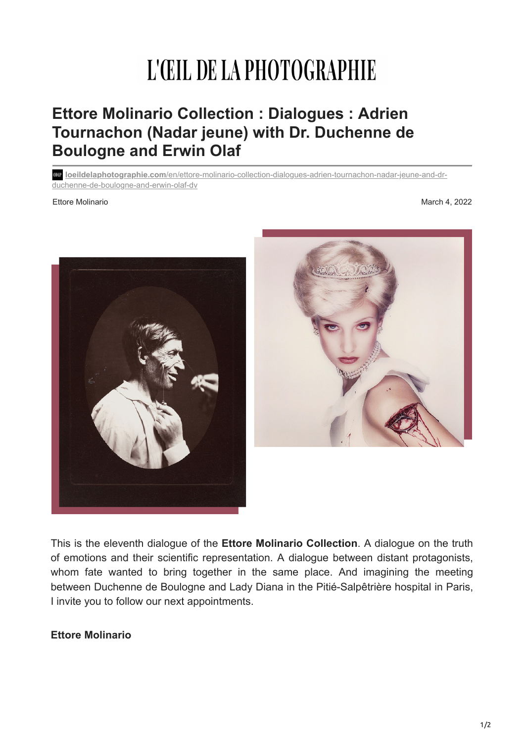## L'ŒIL DE LA PHOTOGRAPHIE

## **Ettore Molinario Collection : Dialogues : Adrien Tournachon (Nadar jeune) with Dr. Duchenne de Boulogne and Erwin Olaf**

**loeildelaphotographie.com**[/en/ettore-molinario-collection-dialogues-adrien-tournachon-nadar-jeune-and-dr](https://loeildelaphotographie.com/en/ettore-molinario-collection-dialogues-adrien-tournachon-nadar-jeune-and-dr-duchenne-de-boulogne-and-erwin-olaf-dv/)duchenne-de-boulogne-and-erwin-olaf-dv

Ettore Molinario March 4, 2022





This is the eleventh dialogue of the **Ettore Molinario Collection**. A dialogue on the truth of emotions and their scientific representation. A dialogue between distant protagonists, whom fate wanted to bring together in the same place. And imagining the meeting between Duchenne de Boulogne and Lady Diana in the Pitié-Salpêtrière hospital in Paris, I invite you to follow our next appointments.

## **Ettore Molinario**